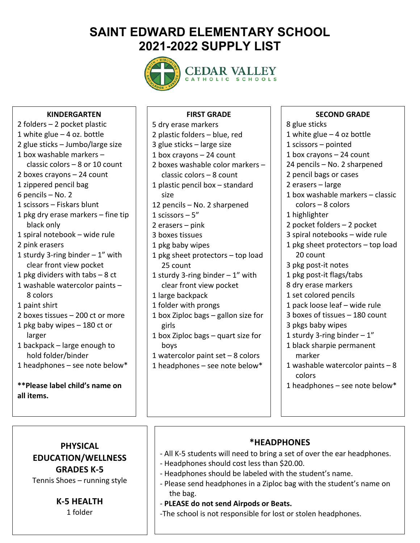# **SAINT EDWARD ELEMENTARY SCHOOL 2021-2022 SUPPLY LIST**



# CEDAR VALLEY

#### **KINDERGARTEN**

2 folders – 2 pocket plastic 1 white glue – 4 oz. bottle 2 glue sticks – Jumbo/large size 1 box washable markers – classic colors – 8 or 10 count 2 boxes crayons – 24 count 1 zippered pencil bag 6 pencils – No. 2 1 scissors – Fiskars blunt 1 pkg dry erase markers – fine tip black only 1 spiral notebook – wide rule 2 pink erasers 1 sturdy 3-ring binder  $-1$ " with clear front view pocket 1 pkg dividers with tabs – 8 ct 1 washable watercolor paints – 8 colors 1 paint shirt 2 boxes tissues – 200 ct or more 1 pkg baby wipes – 180 ct or larger 1 backpack – large enough to hold folder/binder 1 headphones – see note below\* **\*\*Please label child's name on all items.**

#### **FIRST GRADE**

5 dry erase markers 2 plastic folders – blue, red 3 glue sticks – large size 1 box crayons – 24 count 2 boxes washable color markers – classic colors – 8 count 1 plastic pencil box – standard size 12 pencils – No. 2 sharpened 1 scissors  $-5$ " 2 erasers – pink 3 boxes tissues 1 pkg baby wipes 1 pkg sheet protectors – top load 25 count 1 sturdy 3-ring binder  $-1$ " with clear front view pocket 1 large backpack 1 folder with prongs 1 box Ziploc bags – gallon size for girls 1 box Ziploc bags – quart size for boys 1 watercolor paint set – 8 colors 1 headphones – see note below\*

#### **SECOND GRADE**

8 glue sticks 1 white glue  $-4$  oz bottle 1 scissors – pointed 1 box crayons – 24 count 24 pencils – No. 2 sharpened 2 pencil bags or cases 2 erasers – large 1 box washable markers – classic colors – 8 colors 1 highlighter 2 pocket folders – 2 pocket 3 spiral notebooks – wide rule 1 pkg sheet protectors – top load 20 count 3 pkg post-it notes 1 pkg post-it flags/tabs 8 dry erase markers 1 set colored pencils 1 pack loose leaf – wide rule 3 boxes of tissues – 180 count 3 pkgs baby wipes 1 sturdy 3-ring binder  $-1$ " 1 black sharpie permanent marker 1 washable watercolor paints – 8 colors 1 headphones – see note below\*

## **PHYSICAL EDUCATION/WELLNESS GRADES K-5**

Tennis Shoes – running style

#### **K-5 HEALTH**

1 folder

#### **\*HEADPHONES**

 $\overline{a}$ 

- All K-5 students will need to bring a set of over the ear headphones.
- Headphones should cost less than \$20.00.
- Headphones should be labeled with the student's name.
- Please send headphones in a Ziploc bag with the student's name on the bag.
- **PLEASE do not send Airpods or Beats.**

-The school is not responsible for lost or stolen headphones.